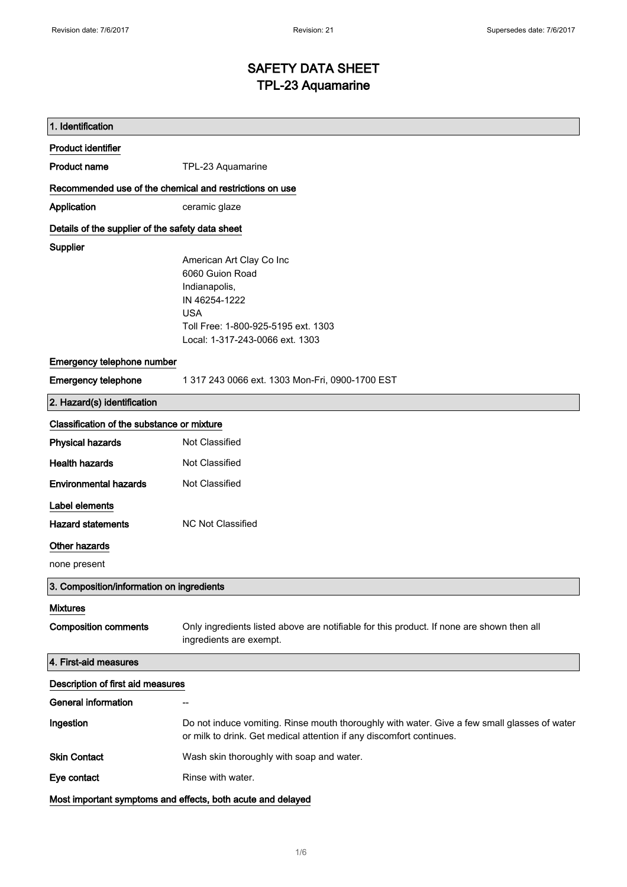# SAFETY DATA SHEET TPL-23 Aquamarine

| 1. Identification                                           |                                                                                                                                                                      |  |
|-------------------------------------------------------------|----------------------------------------------------------------------------------------------------------------------------------------------------------------------|--|
| <b>Product identifier</b>                                   |                                                                                                                                                                      |  |
| <b>Product name</b>                                         | TPL-23 Aquamarine                                                                                                                                                    |  |
| Recommended use of the chemical and restrictions on use     |                                                                                                                                                                      |  |
| Application                                                 | ceramic glaze                                                                                                                                                        |  |
| Details of the supplier of the safety data sheet            |                                                                                                                                                                      |  |
| Supplier                                                    | American Art Clay Co Inc<br>6060 Guion Road<br>Indianapolis,<br>IN 46254-1222<br><b>USA</b><br>Toll Free: 1-800-925-5195 ext. 1303                                   |  |
|                                                             | Local: 1-317-243-0066 ext. 1303                                                                                                                                      |  |
| Emergency telephone number                                  |                                                                                                                                                                      |  |
| <b>Emergency telephone</b>                                  | 1 317 243 0066 ext. 1303 Mon-Fri, 0900-1700 EST                                                                                                                      |  |
| 2. Hazard(s) identification                                 |                                                                                                                                                                      |  |
| Classification of the substance or mixture                  |                                                                                                                                                                      |  |
| <b>Physical hazards</b>                                     | <b>Not Classified</b>                                                                                                                                                |  |
| <b>Health hazards</b>                                       | Not Classified                                                                                                                                                       |  |
| <b>Environmental hazards</b>                                | Not Classified                                                                                                                                                       |  |
| Label elements                                              |                                                                                                                                                                      |  |
| <b>Hazard statements</b>                                    | <b>NC Not Classified</b>                                                                                                                                             |  |
| Other hazards<br>none present                               |                                                                                                                                                                      |  |
| 3. Composition/information on ingredients                   |                                                                                                                                                                      |  |
| <b>Mixtures</b>                                             |                                                                                                                                                                      |  |
| <b>Composition comments</b>                                 | Only ingredients listed above are notifiable for this product. If none are shown then all<br>ingredients are exempt.                                                 |  |
| 4. First-aid measures                                       |                                                                                                                                                                      |  |
| Description of first aid measures                           |                                                                                                                                                                      |  |
| <b>General information</b>                                  |                                                                                                                                                                      |  |
| Ingestion                                                   | Do not induce vomiting. Rinse mouth thoroughly with water. Give a few small glasses of water<br>or milk to drink. Get medical attention if any discomfort continues. |  |
| <b>Skin Contact</b>                                         | Wash skin thoroughly with soap and water.                                                                                                                            |  |
| Eye contact                                                 | Rinse with water.                                                                                                                                                    |  |
| Most important symptoms and effects, both acute and delayed |                                                                                                                                                                      |  |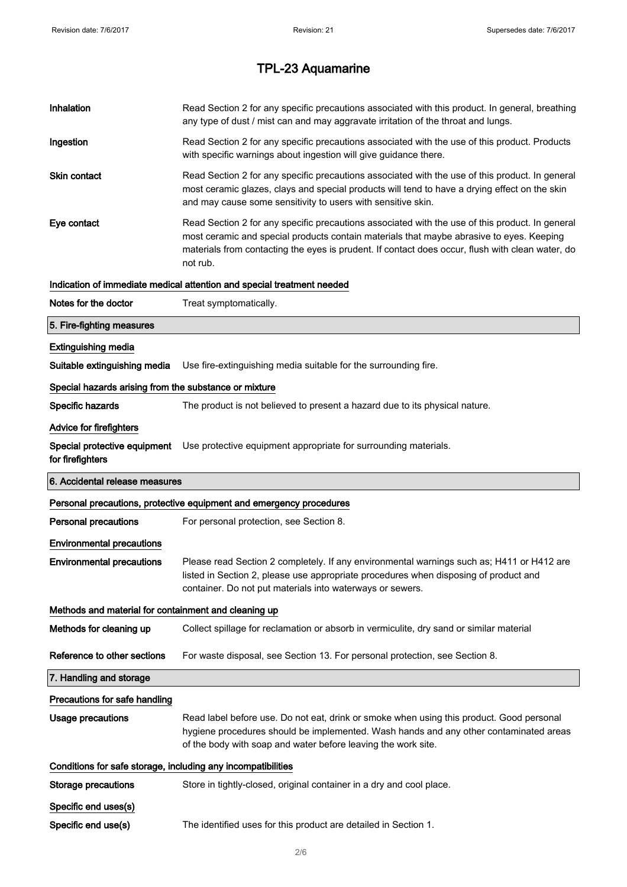| Inhalation                                                   | Read Section 2 for any specific precautions associated with this product. In general, breathing<br>any type of dust / mist can and may aggravate irritation of the throat and lungs.                                                                                                                        |  |
|--------------------------------------------------------------|-------------------------------------------------------------------------------------------------------------------------------------------------------------------------------------------------------------------------------------------------------------------------------------------------------------|--|
| Ingestion                                                    | Read Section 2 for any specific precautions associated with the use of this product. Products<br>with specific warnings about ingestion will give guidance there.                                                                                                                                           |  |
| <b>Skin contact</b>                                          | Read Section 2 for any specific precautions associated with the use of this product. In general<br>most ceramic glazes, clays and special products will tend to have a drying effect on the skin<br>and may cause some sensitivity to users with sensitive skin.                                            |  |
| Eye contact                                                  | Read Section 2 for any specific precautions associated with the use of this product. In general<br>most ceramic and special products contain materials that maybe abrasive to eyes. Keeping<br>materials from contacting the eyes is prudent. If contact does occur, flush with clean water, do<br>not rub. |  |
|                                                              | Indication of immediate medical attention and special treatment needed                                                                                                                                                                                                                                      |  |
| Notes for the doctor                                         | Treat symptomatically.                                                                                                                                                                                                                                                                                      |  |
| 5. Fire-fighting measures                                    |                                                                                                                                                                                                                                                                                                             |  |
| <b>Extinguishing media</b>                                   |                                                                                                                                                                                                                                                                                                             |  |
| Suitable extinguishing media                                 | Use fire-extinguishing media suitable for the surrounding fire.                                                                                                                                                                                                                                             |  |
| Special hazards arising from the substance or mixture        |                                                                                                                                                                                                                                                                                                             |  |
| Specific hazards                                             | The product is not believed to present a hazard due to its physical nature.                                                                                                                                                                                                                                 |  |
| Advice for firefighters                                      |                                                                                                                                                                                                                                                                                                             |  |
| Special protective equipment<br>for firefighters             | Use protective equipment appropriate for surrounding materials.                                                                                                                                                                                                                                             |  |
| 6. Accidental release measures                               |                                                                                                                                                                                                                                                                                                             |  |
|                                                              |                                                                                                                                                                                                                                                                                                             |  |
|                                                              | Personal precautions, protective equipment and emergency procedures                                                                                                                                                                                                                                         |  |
| Personal precautions                                         | For personal protection, see Section 8.                                                                                                                                                                                                                                                                     |  |
| <b>Environmental precautions</b>                             |                                                                                                                                                                                                                                                                                                             |  |
| <b>Environmental precautions</b>                             | Please read Section 2 completely. If any environmental warnings such as; H411 or H412 are<br>listed in Section 2, please use appropriate procedures when disposing of product and<br>container. Do not put materials into waterways or sewers.                                                              |  |
| Methods and material for containment and cleaning up         |                                                                                                                                                                                                                                                                                                             |  |
| Methods for cleaning up                                      | Collect spillage for reclamation or absorb in vermiculite, dry sand or similar material                                                                                                                                                                                                                     |  |
| Reference to other sections                                  | For waste disposal, see Section 13. For personal protection, see Section 8.                                                                                                                                                                                                                                 |  |
| 7. Handling and storage                                      |                                                                                                                                                                                                                                                                                                             |  |
| Precautions for safe handling                                |                                                                                                                                                                                                                                                                                                             |  |
| <b>Usage precautions</b>                                     | Read label before use. Do not eat, drink or smoke when using this product. Good personal<br>hygiene procedures should be implemented. Wash hands and any other contaminated areas<br>of the body with soap and water before leaving the work site.                                                          |  |
| Conditions for safe storage, including any incompatibilities |                                                                                                                                                                                                                                                                                                             |  |
| <b>Storage precautions</b>                                   | Store in tightly-closed, original container in a dry and cool place.                                                                                                                                                                                                                                        |  |
| Specific end uses(s)                                         |                                                                                                                                                                                                                                                                                                             |  |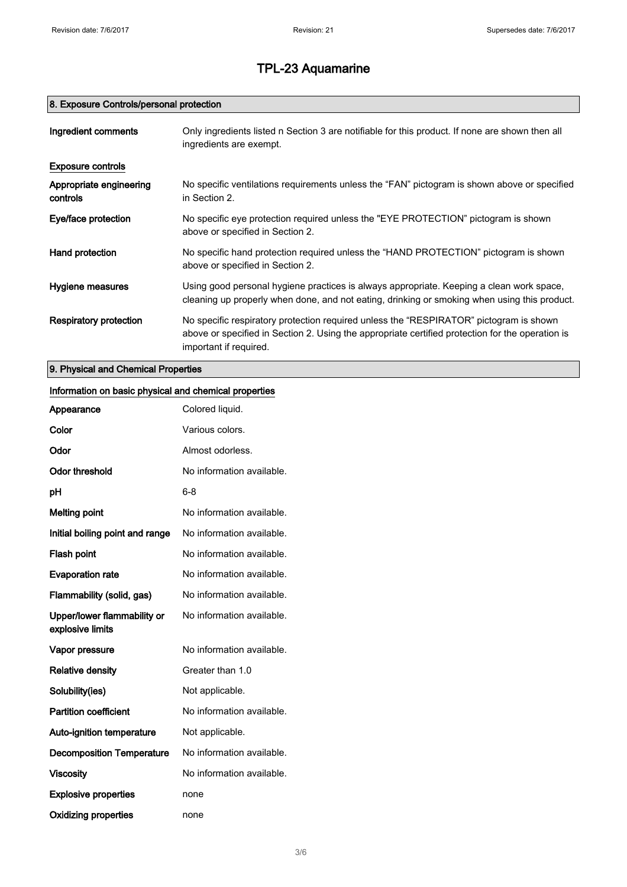# 8. Exposure Controls/personal protection

| Ingredient comments                 | Only ingredients listed n Section 3 are notifiable for this product. If none are shown then all<br>ingredients are exempt.                                                                                           |
|-------------------------------------|----------------------------------------------------------------------------------------------------------------------------------------------------------------------------------------------------------------------|
| <b>Exposure controls</b>            |                                                                                                                                                                                                                      |
| Appropriate engineering<br>controls | No specific ventilations requirements unless the "FAN" pictogram is shown above or specified<br>in Section 2.                                                                                                        |
| Eye/face protection                 | No specific eye protection required unless the "EYE PROTECTION" pictogram is shown<br>above or specified in Section 2.                                                                                               |
| Hand protection                     | No specific hand protection required unless the "HAND PROTECTION" pictogram is shown<br>above or specified in Section 2.                                                                                             |
| Hygiene measures                    | Using good personal hygiene practices is always appropriate. Keeping a clean work space,<br>cleaning up properly when done, and not eating, drinking or smoking when using this product.                             |
| Respiratory protection              | No specific respiratory protection required unless the "RESPIRATOR" pictogram is shown<br>above or specified in Section 2. Using the appropriate certified protection for the operation is<br>important if required. |

9. Physical and Chemical Properties

# Information on basic physical and chemical properties

| Appearance                                      | Colored liquid.           |
|-------------------------------------------------|---------------------------|
| Color                                           | Various colors.           |
| Odor                                            | Almost odorless.          |
| Odor threshold                                  | No information available. |
| pH                                              | $6 - 8$                   |
| <b>Melting point</b>                            | No information available. |
| Initial boiling point and range                 | No information available. |
| Flash point                                     | No information available. |
| <b>Evaporation rate</b>                         | No information available. |
| Flammability (solid, gas)                       | No information available. |
| Upper/lower flammability or<br>explosive limits | No information available. |
| Vapor pressure                                  | No information available. |
| <b>Relative density</b>                         | Greater than 1.0          |
| Solubility(ies)                                 | Not applicable.           |
| <b>Partition coefficient</b>                    | No information available. |
| Auto-ignition temperature                       | Not applicable.           |
| <b>Decomposition Temperature</b>                | No information available. |
| <b>Viscosity</b>                                | No information available. |
| <b>Explosive properties</b>                     | none                      |
| <b>Oxidizing properties</b>                     | none                      |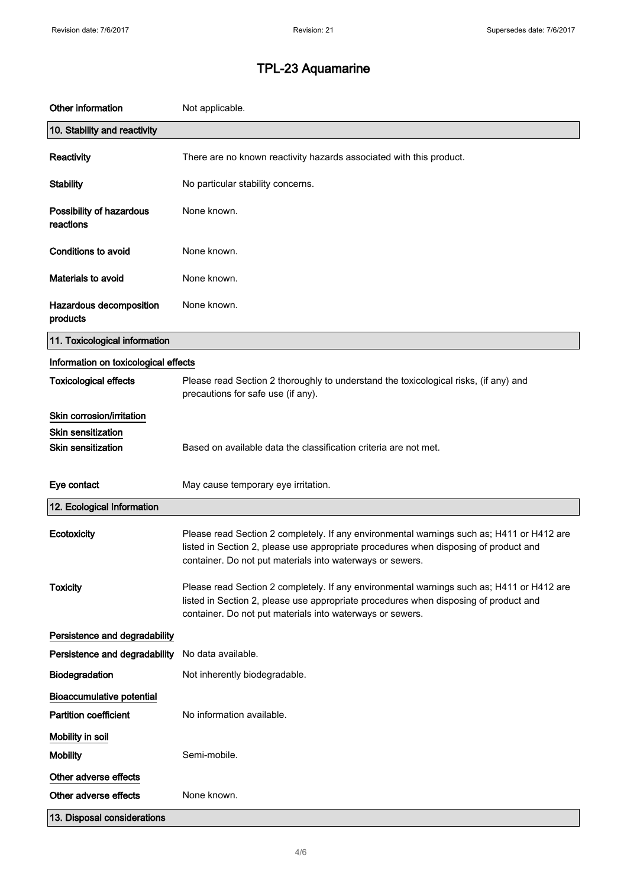| Other information                     | Not applicable.                                                                                                                                                                                                                                |
|---------------------------------------|------------------------------------------------------------------------------------------------------------------------------------------------------------------------------------------------------------------------------------------------|
| 10. Stability and reactivity          |                                                                                                                                                                                                                                                |
| Reactivity                            | There are no known reactivity hazards associated with this product.                                                                                                                                                                            |
| <b>Stability</b>                      | No particular stability concerns.                                                                                                                                                                                                              |
| Possibility of hazardous<br>reactions | None known.                                                                                                                                                                                                                                    |
| Conditions to avoid                   | None known.                                                                                                                                                                                                                                    |
| <b>Materials to avoid</b>             | None known.                                                                                                                                                                                                                                    |
| Hazardous decomposition<br>products   | None known.                                                                                                                                                                                                                                    |
| 11. Toxicological information         |                                                                                                                                                                                                                                                |
| Information on toxicological effects  |                                                                                                                                                                                                                                                |
| <b>Toxicological effects</b>          | Please read Section 2 thoroughly to understand the toxicological risks, (if any) and<br>precautions for safe use (if any).                                                                                                                     |
| Skin corrosion/irritation             |                                                                                                                                                                                                                                                |
| <b>Skin sensitization</b>             |                                                                                                                                                                                                                                                |
| <b>Skin sensitization</b>             | Based on available data the classification criteria are not met.                                                                                                                                                                               |
| Eye contact                           | May cause temporary eye irritation.                                                                                                                                                                                                            |
| 12. Ecological Information            |                                                                                                                                                                                                                                                |
| Ecotoxicity                           | Please read Section 2 completely. If any environmental warnings such as; H411 or H412 are<br>listed in Section 2, please use appropriate procedures when disposing of product and<br>container. Do not put materials into waterways or sewers. |
| <b>Toxicity</b>                       | Please read Section 2 completely. If any environmental warnings such as; H411 or H412 are<br>listed in Section 2, please use appropriate procedures when disposing of product and<br>container. Do not put materials into waterways or sewers. |
| Persistence and degradability         |                                                                                                                                                                                                                                                |
| Persistence and degradability         | No data available.                                                                                                                                                                                                                             |
| Biodegradation                        | Not inherently biodegradable.                                                                                                                                                                                                                  |
| <b>Bioaccumulative potential</b>      |                                                                                                                                                                                                                                                |
| <b>Partition coefficient</b>          | No information available.                                                                                                                                                                                                                      |
| Mobility in soil                      |                                                                                                                                                                                                                                                |
| <b>Mobility</b>                       | Semi-mobile.                                                                                                                                                                                                                                   |
| Other adverse effects                 |                                                                                                                                                                                                                                                |
| Other adverse effects                 | None known.                                                                                                                                                                                                                                    |
| 13. Disposal considerations           |                                                                                                                                                                                                                                                |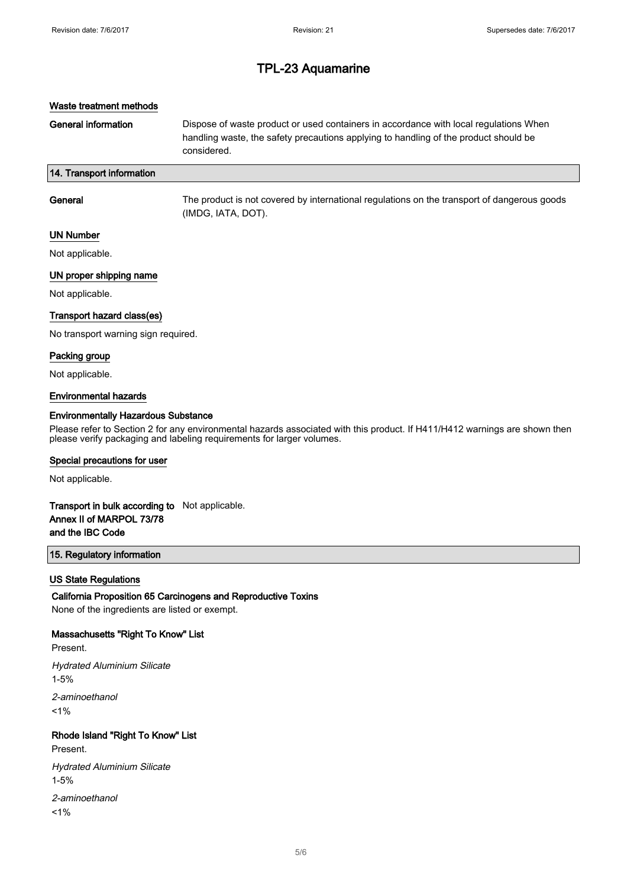## Waste treatment methods

General information **Dispose of waste product or used containers in accordance with local regulations When** handling waste, the safety precautions applying to handling of the product should be considered.

## 14. Transport information

| General             | The product is not covered by international regulations on the transport of dangerous goods<br>(IMDG, IATA, DOT). |
|---------------------|-------------------------------------------------------------------------------------------------------------------|
| <b>TINENLINGBAR</b> |                                                                                                                   |

#### UN Number

Not applicable.

## UN proper shipping name

Not applicable.

### Transport hazard class(es)

No transport warning sign required.

#### Packing group

Not applicable.

#### Environmental hazards

#### Environmentally Hazardous Substance

Please refer to Section 2 for any environmental hazards associated with this product. If H411/H412 warnings are shown then please verify packaging and labeling requirements for larger volumes.

#### Special precautions for user

Not applicable.

# Transport in bulk according to Not applicable. Annex II of MARPOL 73/78 and the IBC Code

### 15. Regulatory information

#### US State Regulations

California Proposition 65 Carcinogens and Reproductive Toxins

None of the ingredients are listed or exempt.

### Massachusetts "Right To Know" List

Present.

Hydrated Aluminium Silicate 1-5% 2-aminoethanol  $1%$ 

# Rhode Island "Right To Know" List

Present.

Hydrated Aluminium Silicate 1-5%

2-aminoethanol  $1%$